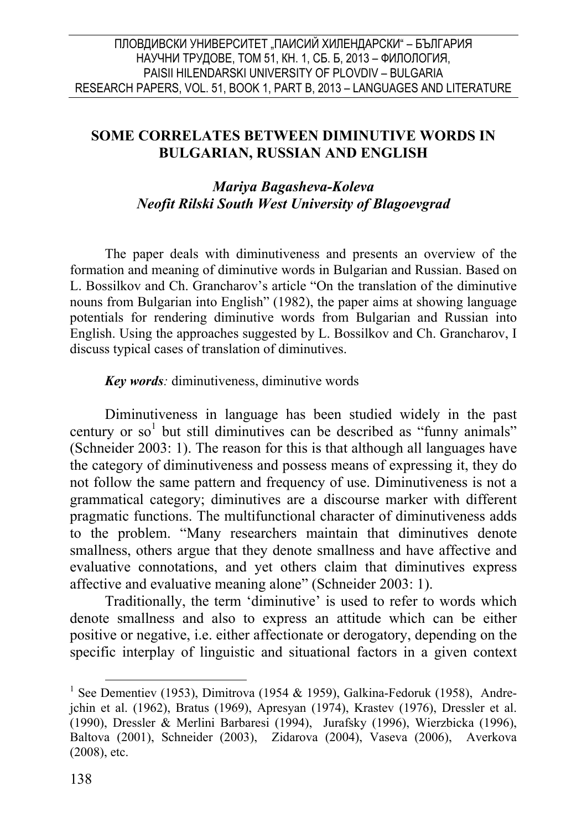#### ПЛОВДИВСКИ УНИВЕРСИТЕТ "ПАИСИЙ ХИЛЕНДАРСКИ" – БЪЛГАРИЯ НАУЧНИ ТРУДОВЕ, ТОМ 51, КН. 1, СБ. Б, 2013 – ФИЛОЛОГИЯ, PAISII HILENDARSKI UNIVERSITY OF PLOVDIV – BULGARIA RESEARCH PAPERS, VOL. 51, BOOK 1, PART В, 2013 – LANGUAGES AND LITERATURE

## **SOME CORRELATES BETWEEN DIMINUTIVE WORDS IN BULGARIAN, RUSSIAN AND ENGLISH**

## *Mariya Bagasheva-Koleva Neofit Rilski South West University of Blagoevgrad*

The paper deals with diminutiveness and presents an overview of the formation and meaning of diminutive words in Bulgarian and Russian. Based on L. Bossilkov and Ch. Grancharov's article "On the translation of the diminutive nouns from Bulgarian into English" (1982), the paper aims at showing language potentials for rendering diminutive words from Bulgarian and Russian into English. Using the approaches suggested by L. Bossilkov and Ch. Grancharov, I discuss typical cases of translation of diminutives.

#### *Key words:* diminutiveness, diminutive words

Diminutiveness in language has been studied widely in the past century or  $so<sup>1</sup>$  but still diminutives can be described as "funny animals" (Schneider 2003: 1). The reason for this is that although all languages have the category of diminutiveness and possess means of expressing it, they do not follow the same pattern and frequency of use. Diminutiveness is not a grammatical category; diminutives are a discourse marker with different pragmatic functions. The multifunctional character of diminutiveness adds to the problem. "Many researchers maintain that diminutives denote smallness, others argue that they denote smallness and have affective and evaluative connotations, and yet others claim that diminutives express affective and evaluative meaning alone" (Schneider 2003: 1).

Traditionally, the term 'diminutive' is used to refer to words which denote smallness and also to express an attitude which can be either positive or negative, i.e. either affectionate or derogatory, depending on the specific interplay of linguistic and situational factors in a given context

<sup>&</sup>lt;sup>1</sup> See Dementiev (1953), Dimitrova (1954 & 1959), Galkina-Fedoruk (1958), Andrejchin et al. (1962), Bratus (1969), Apresyan (1974), Krastev (1976), Dressler et al. (1990), Dressler & Merlini Barbaresi (1994), Jurafsky (1996), Wierzbicka (1996), Baltova (2001), Schneider (2003), Zidarova (2004), Vaseva (2006), Averkova (2008), etc.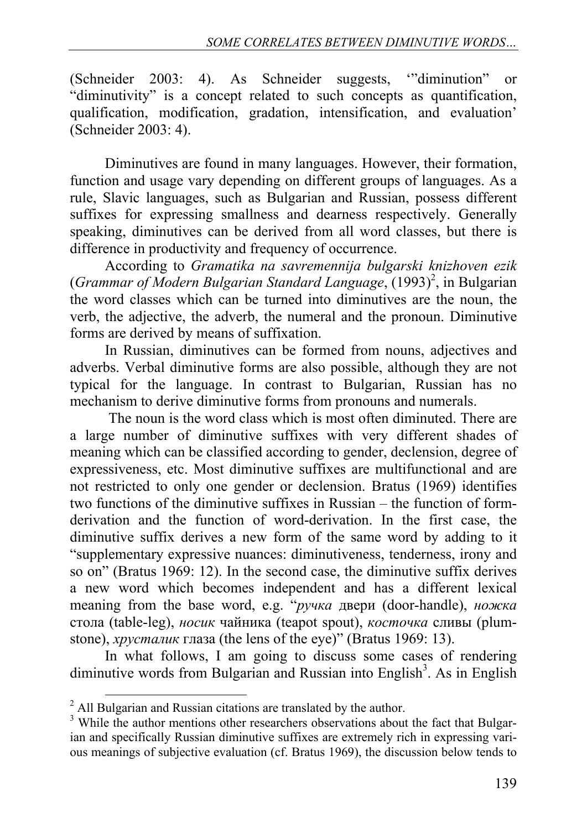(Schneider 2003: 4). As Schneider suggests, '"diminution" or "diminutivity" is a concept related to such concepts as quantification, qualification, modification, gradation, intensification, and evaluation' (Schneider 2003: 4).

Diminutives are found in many languages. However, their formation, function and usage vary depending on different groups of languages. As a rule, Slavic languages, such as Bulgarian and Russian, possess different suffixes for expressing smallness and dearness respectively. Generally speaking, diminutives can be derived from all word classes, but there is difference in productivity and frequency of occurrence.

According to *Gramatika na savremennija bulgarski knizhoven ezik* (*Grammar of Modern Bulgarian Standard Language*, (1993)<sup>2</sup>, in Bulgarian the word classes which can be turned into diminutives are the noun, the verb, the adjective, the adverb, the numeral and the pronoun. Diminutive forms are derived by means of suffixation.

In Russian, diminutives can be formed from nouns, adjectives and adverbs. Verbal diminutive forms are also possible, although they are not typical for the language. In contrast to Bulgarian, Russian has no mechanism to derive diminutive forms from pronouns and numerals.

 The noun is the word class which is most often diminuted. There are a large number of diminutive suffixes with very different shades of meaning which can be classified according to gender, declension, degree of expressiveness, etc. Most diminutive suffixes are multifunctional and are not restricted to only one gender or declension. Bratus (1969) identifies two functions of the diminutive suffixes in Russian – the function of formderivation and the function of word-derivation. In the first case, the diminutive suffix derives a new form of the same word by adding to it "supplementary expressive nuances: diminutiveness, tenderness, irony and so on" (Bratus 1969: 12). In the second case, the diminutive suffix derives a new word which becomes independent and has a different lexical meaning from the base word, e.g. "*ручка* двери (door-handle), *ножка* стола (table-leg), *носик* чайника (teapot spout), *косточка* сливы (plumstone), *хрусталик* глаза (the lens of the eye)" (Bratus 1969: 13).

In what follows, I am going to discuss some cases of rendering diminutive words from Bulgarian and Russian into English<sup>3</sup>. As in English

<sup>&</sup>lt;sup>2</sup> All Bulgarian and Russian citations are translated by the author.

<sup>&</sup>lt;sup>3</sup> While the author mentions other researchers observations about the fact that Bulgarian and specifically Russian diminutive suffixes are extremely rich in expressing various meanings of subjective evaluation (cf. Bratus 1969), the discussion below tends to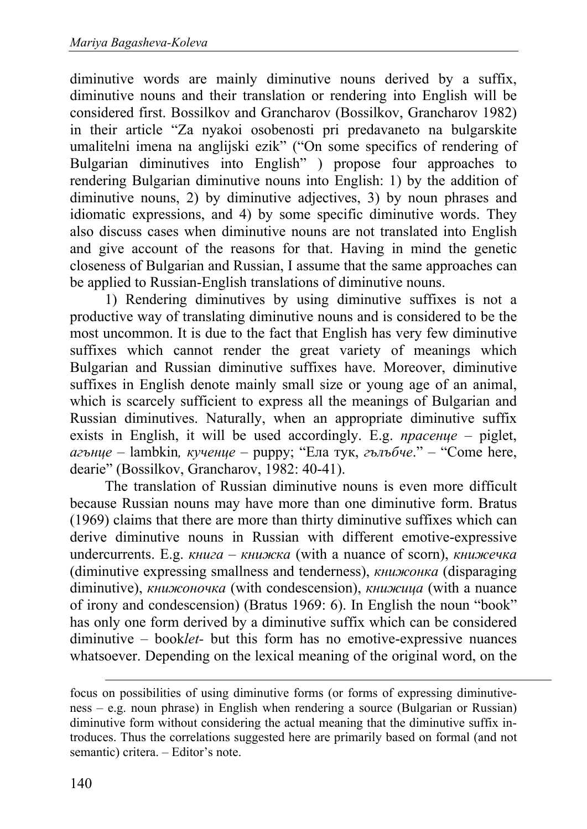diminutive words are mainly diminutive nouns derived by a suffix, diminutive nouns and their translation or rendering into English will be considered first. Bossilkov and Grancharov (Bossilkov, Grancharov 1982) in their article "Za nyakoi osobenosti pri predavaneto na bulgarskite umalitelni imena na anglijski ezik" ("On some specifics of rendering of Bulgarian diminutives into English" ) propose four approaches to rendering Bulgarian diminutive nouns into English: 1) by the addition of diminutive nouns, 2) by diminutive adjectives, 3) by noun phrases and idiomatic expressions, and 4) by some specific diminutive words. They also discuss cases when diminutive nouns are not translated into English and give account of the reasons for that. Having in mind the genetic closeness of Bulgarian and Russian, I assume that the same approaches can be applied to Russian-English translations of diminutive nouns.

1) Rendering diminutives by using diminutive suffixes is not a productive way of translating diminutive nouns and is considered to be the most uncommon. It is due to the fact that English has very few diminutive suffixes which cannot render the great variety of meanings which Bulgarian and Russian diminutive suffixes have. Moreover, diminutive suffixes in English denote mainly small size or young age of an animal, which is scarcely sufficient to express all the meanings of Bulgarian and Russian diminutives. Naturally, when an appropriate diminutive suffix exists in English, it will be used accordingly. E.g. *прасенце* – piglet, *агънце* – lambkin*, кученце* – puppy; "Ела тук, *гълъбче*." – "Come here, dearie" (Bossilkov, Grancharov, 1982: 40-41).

The translation of Russian diminutive nouns is even more difficult because Russian nouns may have more than one diminutive form. Bratus (1969) claims that there are more than thirty diminutive suffixes which can derive diminutive nouns in Russian with different emotive-expressive undercurrents. E.g. *книга* – *книжка* (with a nuance of scorn), *книжечка* (diminutive expressing smallness and tenderness), *книжонка* (disparaging diminutive), *книжоночка* (with condescension), *книжица* (with a nuance of irony and condescension) (Bratus 1969: 6). In English the noun "book" has only one form derived by a diminutive suffix which can be considered diminutive – book*let-* but this form has no emotive-expressive nuances whatsoever. Depending on the lexical meaning of the original word, on the

**.** 

focus on possibilities of using diminutive forms (or forms of expressing diminutiveness – e.g. noun phrase) in English when rendering a source (Bulgarian or Russian) diminutive form without considering the actual meaning that the diminutive suffix introduces. Thus the correlations suggested here are primarily based on formal (and not semantic) critera. – Editor's note.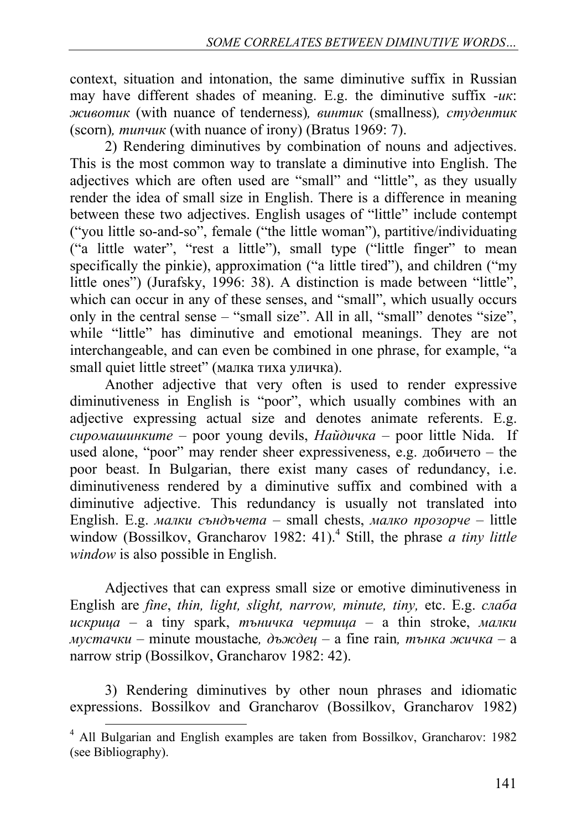context, situation and intonation, the same diminutive suffix in Russian may have different shades of meaning. E.g. the diminutive suffix *-ик*: *животик* (with nuance of tenderness)*, винтик* (smallness)*, студентик* (scorn)*, типчик* (with nuance of irony) (Bratus 1969: 7).

2) Rendering diminutives by combination of nouns and adjectives. This is the most common way to translate a diminutive into English. The adjectives which are often used are "small" and "little", as they usually render the idea of small size in English. There is a difference in meaning between these two adjectives. English usages of "little" include contempt ("you little so-and-so", female ("the little woman"), partitive/individuating ("a little water", "rest a little"), small type ("little finger" to mean specifically the pinkie), approximation ("a little tired"), and children ("my little ones") (Jurafsky, 1996: 38). A distinction is made between "little", which can occur in any of these senses, and "small", which usually occurs only in the central sense – "small size". All in all, "small" denotes "size", while "little" has diminutive and emotional meanings. They are not interchangeable, and can even be combined in one phrase, for example, "a small quiet little street" (малка тиха уличка).

Another adjective that very often is used to render expressive diminutiveness in English is "poor", which usually combines with an adjective expressing actual size and denotes animate referents. E.g. *сиромашинките* – poor young devils, *Найдичка* – poor little Nida. If used alone, "poor" may render sheer expressiveness, e.g. добичето – the poor beast. In Bulgarian, there exist many cases of redundancy, i.e. diminutiveness rendered by a diminutive suffix and combined with a diminutive adjective. This redundancy is usually not translated into English. E.g. *малки съндъчета* – small chests, *малко прозорче* – little window (Bossilkov, Grancharov 1982: 41).<sup>4</sup> Still, the phrase *a tiny little window* is also possible in English.

Adjectives that can express small size or emotive diminutiveness in English are *fine*, *thin, light, slight, narrow, minute, tiny,* etc. E.g. *слаба искрица* – a tiny spark, *тъничка чертица* – a thin stroke, *малки мустачки* – minute moustache,  $\partial$ ъждец – a fine rain, тънка жичка – a narrow strip (Bossilkov, Grancharov 1982: 42).

3) Rendering diminutives by other noun phrases and idiomatic expressions. Bossilkov and Grancharov (Bossilkov, Grancharov 1982)

<sup>4</sup> All Bulgarian and English examples are taken from Bossilkov, Grancharov: 1982 (see Bibliography).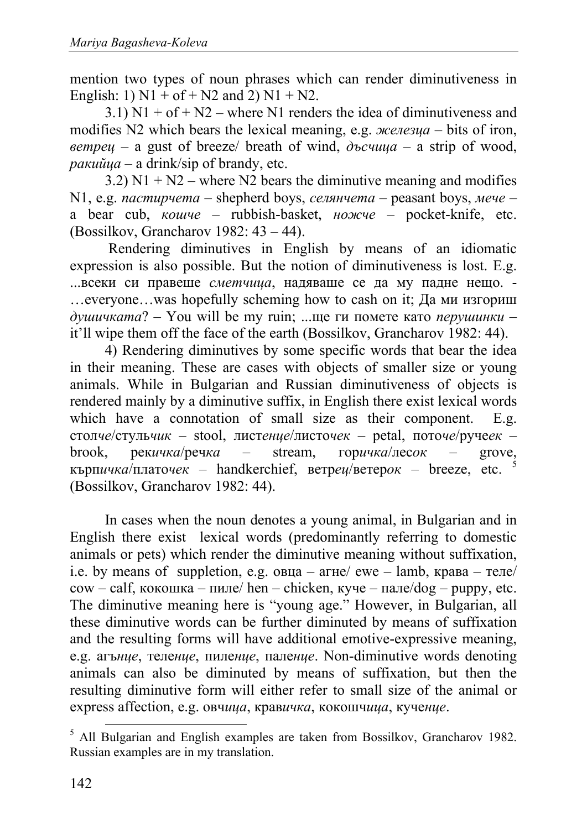mention two types of noun phrases which can render diminutiveness in English: 1)  $N1 + of + N2$  and 2)  $N1 + N2$ .

 $3.1)$  N1 + of + N2 – where N1 renders the idea of diminutiveness and modifies N2 which bears the lexical meaning, e.g. *железца* – bits of iron, *ветрец* – a gust of breeze/ breath of wind, *дъсчица* – a strip of wood, *ракийца* – a drink/sip of brаndy, etc.

3.2)  $N1 + N2$  – where N2 bears the diminutive meaning and modifies N1, e.g. *пастирчета* – shepherd boys, *селянчета* – peasant boys, *мече* – a bear cub, *кошче* – rubbish-basket, *ножче* – pocket-knife, etc. (Bossilkov, Grancharov 1982: 43 – 44).

 Rendering diminutives in English by means of an idiomatic expression is also possible. But the notion of diminutiveness is lost. E.g. ...всеки си правеше *сметчица*, надяваше се да му падне нещо. - …everyone…was hopefully scheming how to cash on it; Да ми изгориш *душичката*? – You will be my ruin; ...ще ги помете като *перушинки* – it'll wipe them off the face of the earth (Bossilkov, Grancharov 1982: 44).

4) Rendering diminutives by some specific words that bear the idea in their meaning. These are cases with objects of smaller size or young animals. While in Bulgarian and Russian diminutiveness of objects is rendered mainly by a diminutive suffix, in English there exist lexical words which have a connotation of small size as their component. E.g. стол*че*/стуль*чик* – stool, лист*енце*/листо*чек* – petal, пото*че*/руче*ек* – brook, рек*ичка*/реч*ка* – stream, кърп*ичка*/плато*чек* – handkerchief, ветр*ец*/ветер*ок* – breeze, etc. <sup>5</sup> (Bossilkov, Grancharov 1982: 44).

In cases when the noun denotes a young animal, in Bulgarian and in English there exist lexical words (predominantly referring to domestic animals or pets) which render the diminutive meaning without suffixation, i.e. by means of suppletion, e.g. овца – агне/ ewe – lamb, крава – теле/ cow – calf, кокошка – пиле/ hen – chicken, куче – пале/dog – puppy, etc. The diminutive meaning here is "young age." However, in Bulgarian, all these diminutive words can be further diminuted by means of suffixation and the resulting forms will have additional emotive-expressive meaning, e.g. агъ*нце*, теле*нце*, пиле*нце*, пале*нце*. Non-diminutive words denoting animals can also be diminuted by means of suffixation, but then the resulting diminutive form will either refer to small size of the animal or express affection, e.g. овч*ица*, крав*ичка*, кокошч*ица*, куче*нце*.

<sup>&</sup>lt;sup>5</sup> All Bulgarian and English examples are taken from Bossilkov, Grancharov 1982. Russian examples are in my translation.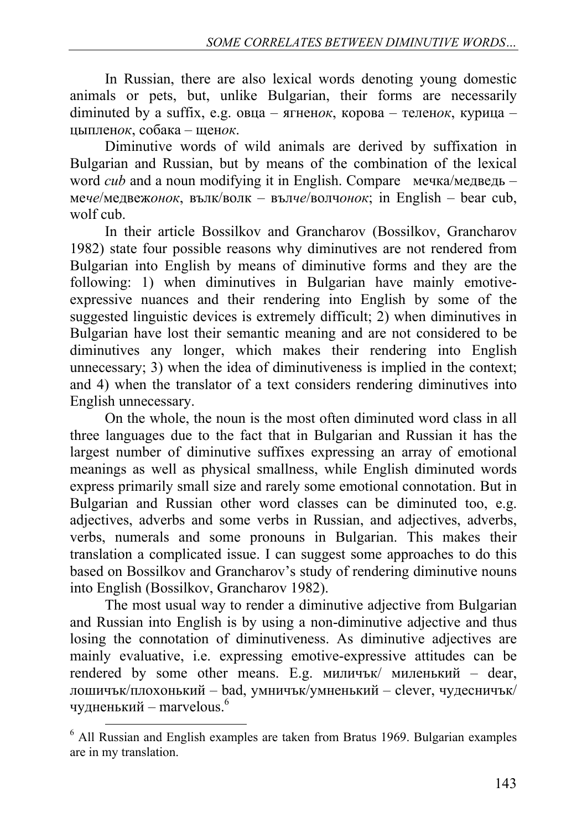In Russian, there are also lexical words denoting young domestic animals or pets, but, unlike Bulgarian, their forms are necessarily diminuted by a suffix, e.g. овца – ягнен*ок*, корова – телен*ок*, курица – цыплен*ок*, собака – щен*ок*.

Diminutive words of wild animals are derived by suffixation in Bulgarian and Russian, but by means of the combination of the lexical word *cub* and a noun modifying it in English. Compare мечка/медведь – ме*че*/медвеж*онок*, вълк/волк – въл*че*/волч*онок*; in English – bear cub, wolf cub.

In their article Bossilkov and Grancharov (Bossilkov, Grancharov 1982) state four possible reasons why diminutives are not rendered from Bulgarian into English by means of diminutive forms and they are the following: 1) when diminutives in Bulgarian have mainly emotiveexpressive nuances and their rendering into English by some of the suggested linguistic devices is extremely difficult; 2) when diminutives in Bulgarian have lost their semantic meaning and are not considered to be diminutives any longer, which makes their rendering into English unnecessary; 3) when the idea of diminutiveness is implied in the context; and 4) when the translator of a text considers rendering diminutives into English unnecessary.

On the whole, the noun is the most often diminuted word class in all three languages due to the fact that in Bulgarian and Russian it has the largest number of diminutive suffixes expressing an array of emotional meanings as well as physical smallness, while English diminuted words express primarily small size and rarely some emotional connotation. But in Bulgarian and Russian other word classes can be diminuted too, e.g. adjectives, adverbs and some verbs in Russian, and adjectives, adverbs, verbs, numerals and some pronouns in Bulgarian. This makes their translation a complicated issue. I can suggest some approaches to do this based on Bossilkov and Grancharov's study of rendering diminutive nouns into English (Bossilkov, Grancharov 1982).

The most usual way to render a diminutive adjective from Bulgarian and Russian into English is by using a non-diminutive adjective and thus losing the connotation of diminutiveness. As diminutive adjectives are mainly evaluative, i.e. expressing emotive-expressive attitudes can be rendered by some other means. E.g. миличък/ миленький – dear, лошичък/плохонький – bad, умничък/умненький – clever, чудесничък/ чудненький – marvelous. $^6$ 

<sup>6</sup> All Russian and English examples are taken from Bratus 1969. Bulgarian examples are in my translation.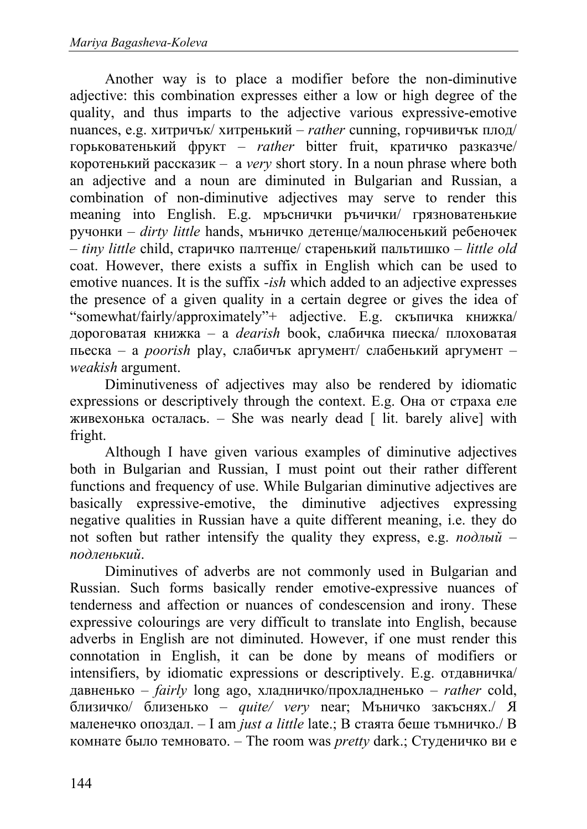Another way is to place a modifier before the non-diminutive adjective: this combination expresses either a low or high degree of the quality, and thus imparts to the adjective various expressive-emotive nuances, e.g. хитричък/ хитрeнький – *rather* cunning, горчивичък плод/ горьковатенький фрукт – *rather* bitter fruit, кратичко разказче/ коротенький рассказик – a *very* short story. In a noun phrase where both an adjective and a noun are diminuted in Bulgarian and Russian, a combination of non-diminutive adjectives may serve to render this meaning into English. E.g. мръснички ръчички/ грязноватенькие ручонки – *dirty little* hands, мъничко детенце/малюсенький ребеночек – *tiny little* child, старичко палтенце/ старенький пальтишко – *little old* coat. However, there exists a suffix in English which can be used to emotive nuances. It is the suffix *-ish* which added to an adjective expresses the presence of a given quality in a certain degree or gives the idea of "somewhat/fairly/approximately"+ adjective. E.g. скъпичка книжка/ дороговатая книжка – a *dearish* book, слабичка пиеска/ плоховатая пьеска – a *poorish* play, слабичък аргумент/ слабенький аргумент – *weakish* argument.

Diminutiveness of adjectives may also be rendered by idiomatic expressions or descriptively through the context. E.g. Она от страха еле живехонька осталась. – She was nearly dead  $\lceil$  lit. barely alive] with fright.

Although I have given various examples of diminutive adjectives both in Bulgarian and Russian, I must point out their rather different functions and frequency of use. While Bulgarian diminutive adjectives are basically expressive-emotive, the diminutive adjectives expressing negative qualities in Russian have a quite different meaning, i.e. they do not soften but rather intensify the quality they express, e.g. *подлый – подленький*.

Diminutives of adverbs are not commonly used in Bulgarian and Russian. Such forms basically render emotive-expressive nuances of tenderness and affection or nuances of condescension and irony. These expressive colourings are very difficult to translate into English, because adverbs in English are not diminuted. However, if one must render this connotation in English, it can be done by means of modifiers or intensifiers, by idiomatic expressions or descriptively. E.g. отдавничка/ давненько – *fairly* long ago, хладничко/прохладненько – *rather* cold, близичко/ близенько – *quite/ very* near; Мъничко закъснях./ Я маленечко опоздал. – I am *just a little* late.; В стаята беше тъмничко./ В комнате было темновато. – The room was *pretty* dark.; Студеничко ви е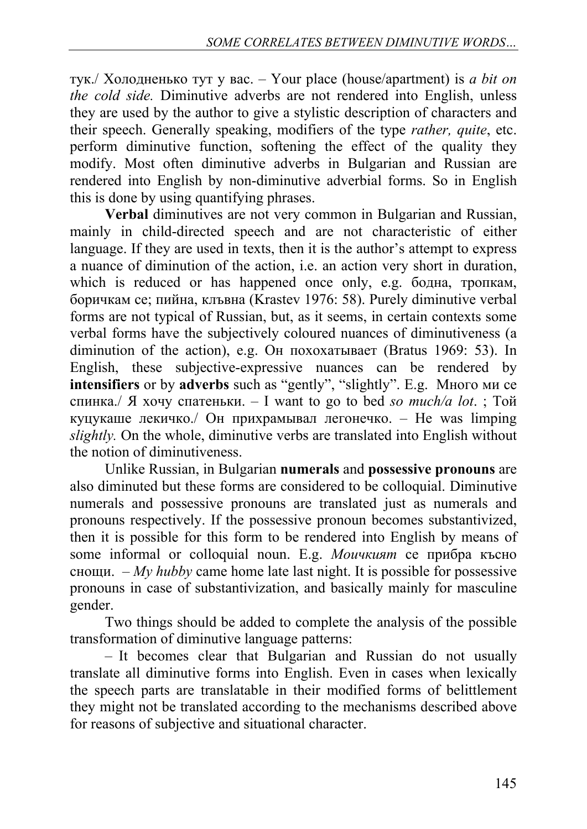тук./ Холодненько тут у вас. – Your place (house/apartment) is *a bit on the cold side.* Diminutive adverbs are not rendered into English, unless they are used by the author to give a stylistic description of characters and their speech. Generally speaking, modifiers of the type *rather, quite*, etc. perform diminutive function, softening the effect of the quality they modify. Most often diminutive adverbs in Bulgarian and Russian are rendered into English by non-diminutive adverbial forms. So in English this is done by using quantifying phrases.

**Verbal** diminutives are not very common in Bulgarian and Russian, mainly in child-directed speech and are not characteristic of either language. If they are used in texts, then it is the author's attempt to express a nuance of diminution of the action, i.e. an action very short in duration, which is reduced or has happened once only, e.g. бодна, тропкам, боричкам се; пийна, клъвна (Krastev 1976: 58). Purely diminutive verbal forms are not typical of Russian, but, as it seems, in certain contexts some verbal forms have the subjectively coloured nuances of diminutiveness (a diminution of the action), e.g. Он похохатывает (Bratus 1969: 53). In English, these subjective-expressive nuances can be rendered by **intensifiers** or by **adverbs** such as "gently", "slightly". E.g. Много ми се спинка./ Я хочу спатеньки. – I want to go to bed *so much/a lot*. ; Той куцукаше лекичко./ Он прихрамывал легонечко. – He was limping *slightly.* On the whole, diminutive verbs are translated into English without the notion of diminutiveness.

Unlike Russian, in Bulgarian **numerals** and **possessive pronouns** are also diminuted but these forms are considered to be colloquial. Diminutive numerals and possessive pronouns are translated just as numerals and pronouns respectively. If the possessive pronoun becomes substantivized, then it is possible for this form to be rendered into English by means of some informal or colloquial noun. E.g. *Моичкият* се прибра късно снощи. – *My hubby* came home late last night. It is possible for possessive pronouns in case of substantivization, and basically mainly for masculine gender.

Two things should be added to complete the analysis of the possible transformation of diminutive language patterns:

– It becomes clear that Bulgarian and Russian do not usually translate all diminutive forms into English. Even in cases when lexically the speech parts are translatable in their modified forms of belittlement they might not be translated according to the mechanisms described above for reasons of subjective and situational character.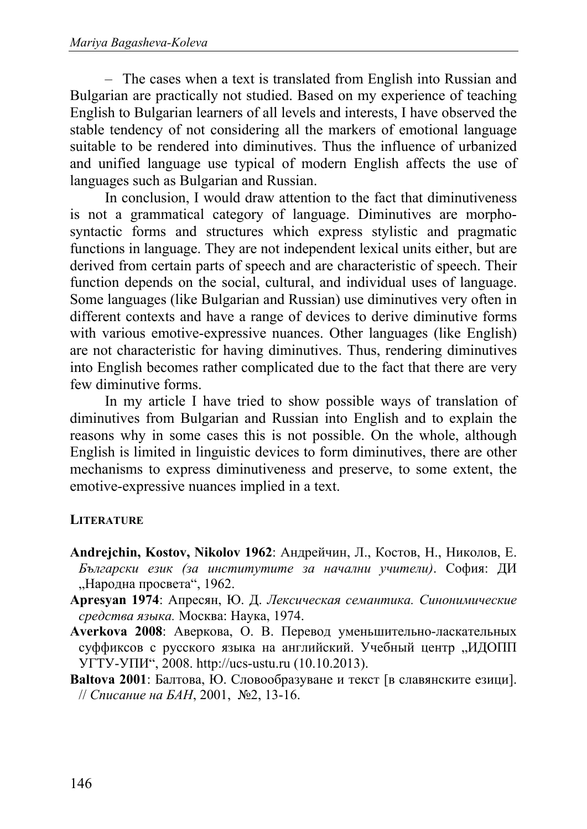– The cases when a text is translated from English into Russian and Bulgarian are practically not studied. Based on my experience of teaching English to Bulgarian learners of all levels and interests, I have observed the stable tendency of not considering all the markers of emotional language suitable to be rendered into diminutives. Thus the influence of urbanized and unified language use typical of modern English affects the use of languages such as Bulgarian and Russian.

In conclusion, I would draw attention to the fact that diminutiveness is not a grammatical category of language. Diminutives are morphosyntactic forms and structures which express stylistic and pragmatic functions in language. They are not independent lexical units either, but are derived from certain parts of speech and are characteristic of speech. Their function depends on the social, cultural, and individual uses of language. Some languages (like Bulgarian and Russian) use diminutives very often in different contexts and have a range of devices to derive diminutive forms with various emotive-expressive nuances. Other languages (like English) are not characteristic for having diminutives. Thus, rendering diminutives into English becomes rather complicated due to the fact that there are very few diminutive forms.

In my article I have tried to show possible ways of translation of diminutives from Bulgarian and Russian into English and to explain the reasons why in some cases this is not possible. On the whole, although English is limited in linguistic devices to form diminutives, there are other mechanisms to express diminutiveness and preserve, to some extent, the emotive-expressive nuances implied in a text.

# **LITERATURE**

- **Andrejchin, Kostov, Nikolov 1962**: Андрейчин, Л., Костов, Н., Николов, Е. *Български език (за институтите за начални учители)*. София: ДИ "Народна просвета", 1962.
- **Apresyan 1974**: Апресян, Ю. Д. *Лексическая семантика. Синонимические средства языка.* Москва: Наука, 1974.
- **Averkova 2008**: Аверкова, О. В. Перевод уменьшительно-ласкательных суффиксов с русского языка на английский. Учебный центр "ИДОПП УГТУ-УПИ", 2008. http://ucs-ustu.ru (10.10.2013).
- **Baltova 2001**: Балтова, Ю. Словообразуване и текст [в славянските езици]. // *Списание на БАН*, 2001, №2, 13-16.